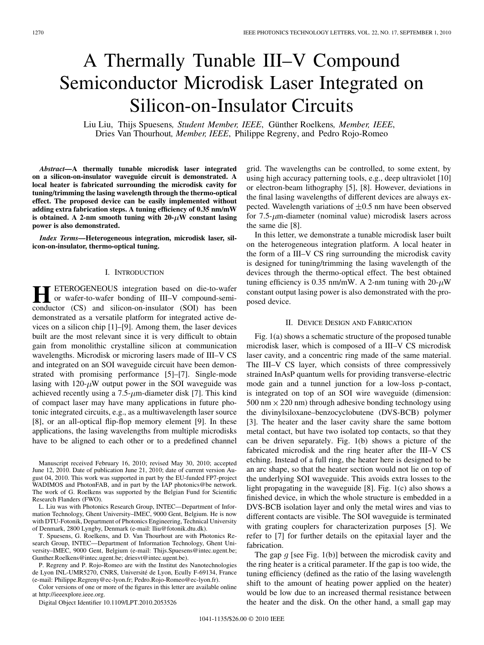# A Thermally Tunable III–V Compound Semiconductor Microdisk Laser Integrated on Silicon-on-Insulator Circuits

Liu Liu, Thijs Spuesens*, Student Member, IEEE*, Günther Roelkens*, Member, IEEE*, Dries Van Thourhout*, Member, IEEE*, Philippe Regreny, and Pedro Rojo-Romeo

*Abstract—***A thermally tunable microdisk laser integrated on a silicon-on-insulator waveguide circuit is demonstrated. A local heater is fabricated surrounding the microdisk cavity for tuning/trimming the lasing wavelength through the thermo-optical effect. The proposed device can be easily implemented without adding extra fabrication steps. A tuning efficiency of 0.35 nm/mW** is obtained. A 2-nm smooth tuning with  $20-\mu$ W constant lasing **power is also demonstrated.**

*Index Terms—***Heterogeneous integration, microdisk laser, silicon-on-insulator, thermo-optical tuning.**

#### I. INTRODUCTION

**ETEROGENEOUS** integration based on die-to-wafer or wafer-to-wafer bonding of III–V compound-semiconductor (CS) and silicon-on-insulator (SOI) has been demonstrated as a versatile platform for integrated active devices on a silicon chip [1]–[9]. Among them, the laser devices built are the most relevant since it is very difficult to obtain gain from monolithic crystalline silicon at communication wavelengths. Microdisk or microring lasers made of III–V CS and integrated on an SOI waveguide circuit have been demonstrated with promising performance [5]–[7]. Single-mode lasing with  $120-\mu$ W output power in the SOI waveguide was achieved recently using a  $7.5$ - $\mu$ m-diameter disk [7]. This kind of compact laser may have many applications in future photonic integrated circuits, e.g., as a multiwavelength laser source [8], or an all-optical flip-flop memory element [9]. In these applications, the lasing wavelengths from multiple microdisks have to be aligned to each other or to a predefined channel

Manuscript received February 16, 2010; revised May 30, 2010; accepted June 12, 2010. Date of publication June 21, 2010; date of current version August 04, 2010. This work was supported in part by the EU-funded FP7-project WADIMOS and PhotonFAB, and in part by the IAP photonics@be network. The work of G. Roelkens was supported by the Belgian Fund for Scientific Research Flanders (FWO).

L. Liu was with Photonics Research Group, INTEC—Department of Information Technology, Ghent University–IMEC, 9000 Gent, Belgium. He is now with DTU-Fotonik, Department of Photonics Engineering, Technical University of Denmark, 2800 Lyngby, Denmark (e-mail: lliu@fotonik.dtu.dk).

T. Spuesens, G. Roelkens, and D. Van Thourhout are with Photonics Research Group, INTEC—Department of Information Technology, Ghent University–IMEC, 9000 Gent, Belgium (e-mail: Thijs.Spuesens@intec.ugent.be; Gunther.Roelkens@intec.ugent.be; driesvt@intec.ugent.be).

P. Regreny and P. Rojo-Romeo are with the Institut des Nanotechnologies de Lyon INL-UMR5270, CNRS, Université de Lyon, Ecully F-69134, France (e-mail: Philippe.Regreny@ec-lyon.fr; Pedro.Rojo-Romeo@ec-lyon.fr).

Color versions of one or more of the figures in this letter are available online at http://ieeexplore.ieee.org.

Digital Object Identifier 10.1109/LPT.2010.2053526

grid. The wavelengths can be controlled, to some extent, by using high accuracy patterning tools, e.g., deep ultraviolet [10] or electron-beam lithography [5], [8]. However, deviations in the final lasing wavelengths of different devices are always expected. Wavelength variations of  $\pm 0.5$  nm have been observed for  $7.5$ - $\mu$ m-diameter (nominal value) microdisk lasers across the same die [8].

In this letter, we demonstrate a tunable microdisk laser built on the heterogeneous integration platform. A local heater in the form of a III–V CS ring surrounding the microdisk cavity is designed for tuning/trimming the lasing wavelength of the devices through the thermo-optical effect. The best obtained tuning efficiency is 0.35 nm/mW. A 2-nm tuning with  $20-\mu$ W constant output lasing power is also demonstrated with the proposed device.

## II. DEVICE DESIGN AND FABRICATION

Fig. 1(a) shows a schematic structure of the proposed tunable microdisk laser, which is composed of a III–V CS microdisk laser cavity, and a concentric ring made of the same material. The III–V CS layer, which consists of three compressively strained InAsP quantum wells for providing transverse-electric mode gain and a tunnel junction for a low-loss p-contact, is integrated on top of an SOI wire waveguide (dimension: 500 nm  $\times$  220 nm) through adhesive bonding technology using the divinylsiloxane–benzocyclobutene (DVS-BCB) polymer [3]. The heater and the laser cavity share the same bottom metal contact, but have two isolated top contacts, so that they can be driven separately. Fig. 1(b) shows a picture of the fabricated microdisk and the ring heater after the III–V CS etching. Instead of a full ring, the heater here is designed to be an arc shape, so that the heater section would not lie on top of the underlying SOI waveguide. This avoids extra losses to the light propagating in the waveguide [8]. Fig. 1(c) also shows a finished device, in which the whole structure is embedded in a DVS-BCB isolation layer and only the metal wires and vias to different contacts are visible. The SOI waveguide is terminated with grating couplers for characterization purposes [5]. We refer to [7] for further details on the epitaxial layer and the fabrication.

The gap  $g$  [see Fig. 1(b)] between the microdisk cavity and the ring heater is a critical parameter. If the gap is too wide, the tuning efficiency (defined as the ratio of the lasing wavelength shift to the amount of heating power applied on the heater) would be low due to an increased thermal resistance between the heater and the disk. On the other hand, a small gap may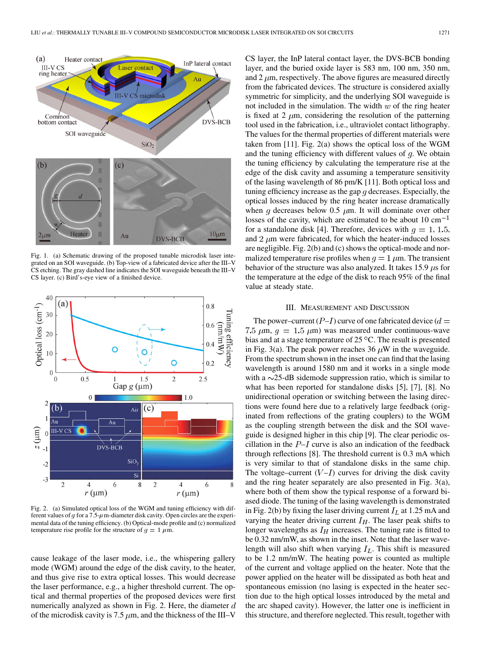

Fig. 1. (a) Schematic drawing of the proposed tunable microdisk laser integrated on an SOI waveguide. (b) Top-view of a fabricated device after the III–V CS etching. The gray dashed line indicates the SOI waveguide beneath the III–V CS layer. (c) Bird's-eye view of a finished device.



Fig. 2. (a) Simulated optical loss of the WGM and tuning efficiency with different values of  $g$  for a 7.5- $\mu$ m-diameter disk cavity. Open circles are the experimental data of the tuning efficiency. (b) Optical-mode profile and (c) normalized temperature rise profile for the structure of  $g = 1 \mu m$ .

cause leakage of the laser mode, i.e., the whispering gallery mode (WGM) around the edge of the disk cavity, to the heater, and thus give rise to extra optical losses. This would decrease the laser performance, e.g., a higher threshold current. The optical and thermal properties of the proposed devices were first numerically analyzed as shown in Fig. 2. Here, the diameter  $d$ of the microdisk cavity is 7.5  $\mu$ m, and the thickness of the III–V

CS layer, the InP lateral contact layer, the DVS-BCB bonding layer, and the buried oxide layer is 583 nm, 100 nm, 350 nm, and  $2 \mu$ m, respectively. The above figures are measured directly from the fabricated devices. The structure is considered axially symmetric for simplicity, and the underlying SOI waveguide is not included in the simulation. The width  $w$  of the ring heater is fixed at 2  $\mu$ m, considering the resolution of the patterning tool used in the fabrication, i.e., ultraviolet contact lithography. The values for the thermal properties of different materials were taken from [11]. Fig. 2(a) shows the optical loss of the WGM and the tuning efficiency with different values of  $q$ . We obtain the tuning efficiency by calculating the temperature rise at the edge of the disk cavity and assuming a temperature sensitivity of the lasing wavelength of 86 pm/K [11]. Both optical loss and tuning efficiency increase as the gap  $q$  decreases. Especially, the optical losses induced by the ring heater increase dramatically when g decreases below 0.5  $\mu$ m. It will dominate over other losses of the cavity, which are estimated to be about 10  $\text{cm}^{-1}$ for a standalone disk [4]. Therefore, devices with  $q = 1, 1.5,$ and  $2 \mu$ m were fabricated, for which the heater-induced losses are negligible. Fig. 2(b) and (c) shows the optical-mode and normalized temperature rise profiles when  $q = 1 \mu m$ . The transient behavior of the structure was also analyzed. It takes 15.9  $\mu$ s for the temperature at the edge of the disk to reach 95% of the final value at steady state.

### III. MEASUREMENT AND DISCUSSION

The power–current  $(P-I)$  curve of one fabricated device  $(d=$ 7.5  $\mu$ m,  $q = 1.5 \mu$ m) was measured under continuous-wave bias and at a stage temperature of 25  $\mathrm{^{\circ}C}$ . The result is presented in Fig. 3(a). The peak power reaches 36  $\mu$ W in the waveguide. From the spectrum shown in the inset one can find that the lasing wavelength is around 1580 nm and it works in a single mode with a  $\sim$ 25-dB sidemode suppression ratio, which is similar to what has been reported for standalone disks [5], [7], [8]. No unidirectional operation or switching between the lasing directions were found here due to a relatively large feedback (originated from reflections of the grating couplers) to the WGM as the coupling strength between the disk and the SOI waveguide is designed higher in this chip [9]. The clear periodic oscillation in the  $P-I$  curve is also an indication of the feedback through reflections [8]. The threshold current is 0.3 mA which is very similar to that of standalone disks in the same chip. The voltage–current  $(V-I)$  curves for driving the disk cavity and the ring heater separately are also presented in Fig. 3(a), where both of them show the typical response of a forward biased diode. The tuning of the lasing wavelength is demonstrated in Fig. 2(b) by fixing the laser driving current  $I_L$  at 1.25 mA and varying the heater driving current  $I_H$ . The laser peak shifts to longer wavelengths as  $I_H$  increases. The tuning rate is fitted to be 0.32 nm/mW, as shown in the inset. Note that the laser wavelength will also shift when varying  $I_L$ . This shift is measured to be 1.2 nm/mW. The heating power is counted as multiple of the current and voltage applied on the heater. Note that the power applied on the heater will be dissipated as both heat and spontaneous emission (no lasing is expected in the heater section due to the high optical losses introduced by the metal and the arc shaped cavity). However, the latter one is inefficient in this structure, and therefore neglected. This result, together with